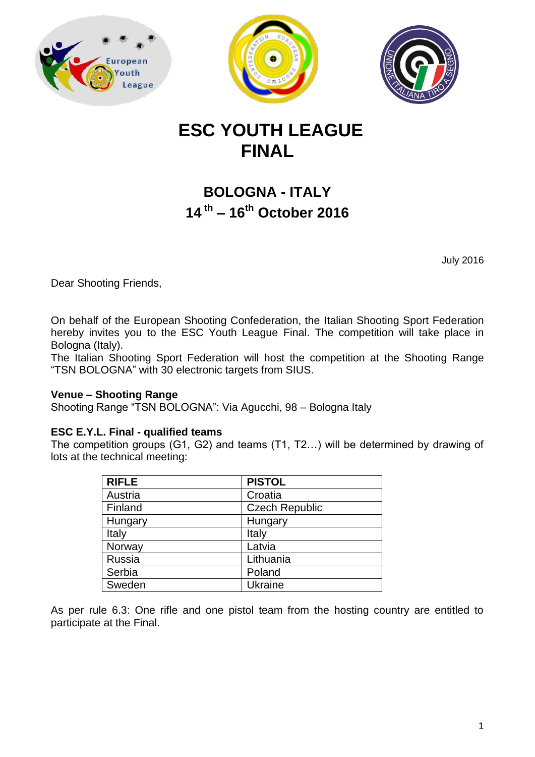





# **ESC YOUTH LEAGUE FINAL**

## **BOLOGNA - ITALY 14 th – 16th October 2016**

July 2016

Dear Shooting Friends,

On behalf of the European Shooting Confederation, the Italian Shooting Sport Federation hereby invites you to the ESC Youth League Final. The competition will take place in Bologna (Italy).

The Italian Shooting Sport Federation will host the competition at the Shooting Range "TSN BOLOGNA" with 30 electronic targets from SIUS.

## **Venue – Shooting Range**

Shooting Range "TSN BOLOGNA": Via Agucchi, 98 – Bologna Italy

## **ESC E.Y.L. Final - qualified teams**

The competition groups (G1, G2) and teams (T1, T2…) will be determined by drawing of lots at the technical meeting:

| <b>RIFLE</b> | <b>PISTOL</b>         |  |
|--------------|-----------------------|--|
| Austria      | Croatia               |  |
| Finland      | <b>Czech Republic</b> |  |
| Hungary      | Hungary               |  |
| Italy        | Italy                 |  |
| Norway       | Latvia                |  |
| Russia       | Lithuania             |  |
| Serbia       | Poland                |  |
| Sweden       | Ukraine               |  |

As per rule 6.3: One rifle and one pistol team from the hosting country are entitled to participate at the Final.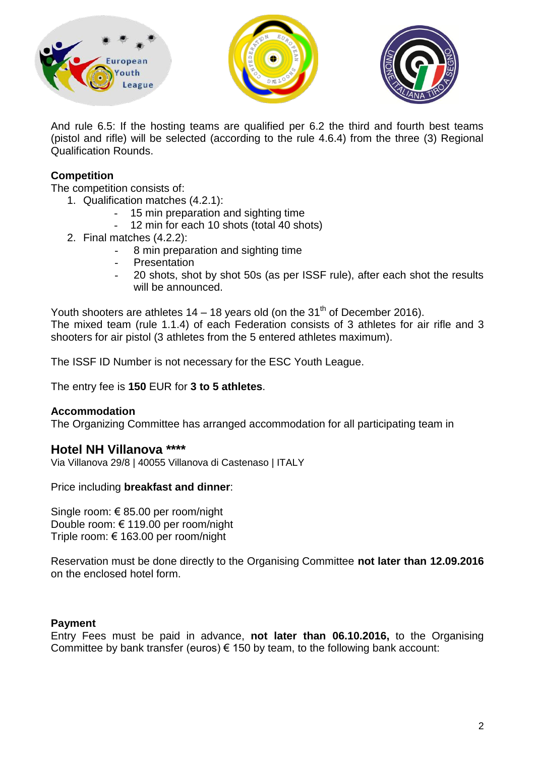





And rule 6.5: If the hosting teams are qualified per 6.2 the third and fourth best teams (pistol and rifle) will be selected (according to the rule 4.6.4) from the three (3) Regional Qualification Rounds.

## **Competition**

The competition consists of:

- 1. Qualification matches (4.2.1):
	- 15 min preparation and sighting time
	- 12 min for each 10 shots (total 40 shots)
- 2. Final matches (4.2.2):
	- 8 min preparation and sighting time
	- **Presentation**
	- 20 shots, shot by shot 50s (as per ISSF rule), after each shot the results will be announced.

Youth shooters are athletes  $14 - 18$  years old (on the  $31<sup>th</sup>$  of December 2016). The mixed team (rule 1.1.4) of each Federation consists of 3 athletes for air rifle and 3 shooters for air pistol (3 athletes from the 5 entered athletes maximum).

The ISSF ID Number is not necessary for the ESC Youth League.

The entry fee is **150** EUR for **3 to 5 athletes**.

## **Accommodation**

The Organizing Committee has arranged accommodation for all participating team in

## **Hotel NH Villanova \*\*\*\***

Via Villanova 29/8 | 40055 Villanova di Castenaso | ITALY

Price including **breakfast and dinner**:

Single room: € 85.00 per room/night Double room: € 119.00 per room/night Triple room: € 163.00 per room/night

Reservation must be done directly to the Organising Committee **not later than 12.09.2016** on the enclosed hotel form.

## **Payment**

Entry Fees must be paid in advance, **not later than 06.10.2016,** to the Organising Committee by bank transfer (euros)  $\epsilon$  150 by team, to the following bank account: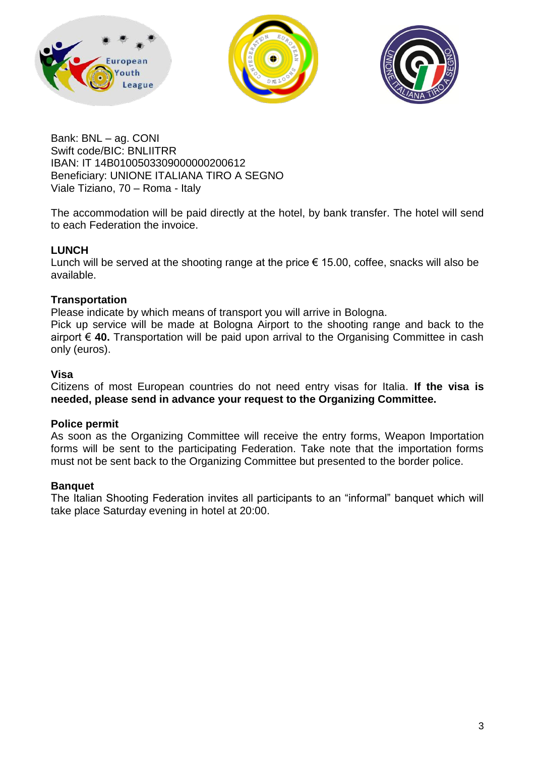





Bank: BNL – ag. CONI Swift code/BIC: BNLIITRR IBAN: IT 14B0100503309000000200612 Beneficiary: UNIONE ITALIANA TIRO A SEGNO Viale Tiziano, 70 – Roma - Italy

The accommodation will be paid directly at the hotel, by bank transfer. The hotel will send to each Federation the invoice.

## **LUNCH**

Lunch will be served at the shooting range at the price  $\epsilon$  15.00, coffee, snacks will also be available.

## **Transportation**

Please indicate by which means of transport you will arrive in Bologna.

Pick up service will be made at Bologna Airport to the shooting range and back to the airport € **40.** Transportation will be paid upon arrival to the Organising Committee in cash only (euros).

## **Visa**

Citizens of most European countries do not need entry visas for Italia. **If the visa is needed, please send in advance your request to the Organizing Committee.**

## **Police permit**

As soon as the Organizing Committee will receive the entry forms, Weapon Importation forms will be sent to the participating Federation. Take note that the importation forms must not be sent back to the Organizing Committee but presented to the border police.

## **Banquet**

The Italian Shooting Federation invites all participants to an "informal" banquet which will take place Saturday evening in hotel at 20:00.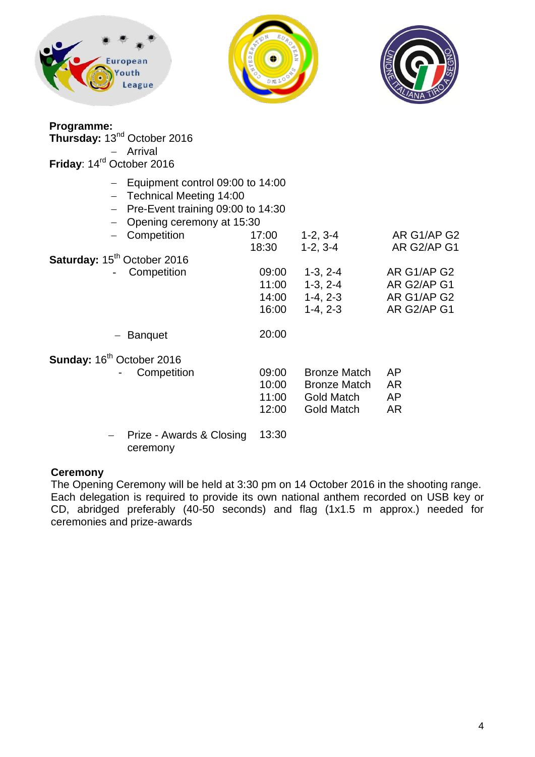





| Programme:<br>Thursday: 13 <sup>nd</sup> October 2016<br>Arrival<br>Friday: 14 <sup>rd</sup> October 2016                                                                                                                      |                                                    |                                                                                      |                                                                                        |
|--------------------------------------------------------------------------------------------------------------------------------------------------------------------------------------------------------------------------------|----------------------------------------------------|--------------------------------------------------------------------------------------|----------------------------------------------------------------------------------------|
| $-$ Equipment control 09:00 to 14:00<br>- Technical Meeting 14:00<br>Pre-Event training 09:00 to 14:30<br>$\equiv$ .<br>- Opening ceremony at 15:30<br>Competition<br>Saturday: 15 <sup>th</sup> October 2016<br>- Competition | 17:00<br>18:30<br>09:00<br>11:00<br>14:00<br>16:00 | $1-2, 3-4$<br>$1-2, 3-4$<br>$1-3, 2-4$<br>$1-3, 2-4$<br>$1-4, 2-3$<br>$1-4, 2-3$     | AR G1/AP G2<br>AR G2/AP G1<br>AR G1/AP G2<br>AR G2/AP G1<br>AR G1/AP G2<br>AR G2/AP G1 |
| <b>Banquet</b>                                                                                                                                                                                                                 | 20:00                                              |                                                                                      |                                                                                        |
| Sunday: 16 <sup>th</sup> October 2016<br>Competition                                                                                                                                                                           | 09:00<br>10:00<br>11:00<br>12:00                   | <b>Bronze Match</b><br><b>Bronze Match</b><br><b>Gold Match</b><br><b>Gold Match</b> | AP<br>AR<br>AP<br>AR                                                                   |
| Prize - Awards & Closing<br>—                                                                                                                                                                                                  | 13:30                                              |                                                                                      |                                                                                        |

ceremony

## **Ceremony**

The Opening Ceremony will be held at 3:30 pm on 14 October 2016 in the shooting range. Each delegation is required to provide its own national anthem recorded on USB key or CD, abridged preferably (40-50 seconds) and flag (1x1.5 m approx.) needed for ceremonies and prize-awards